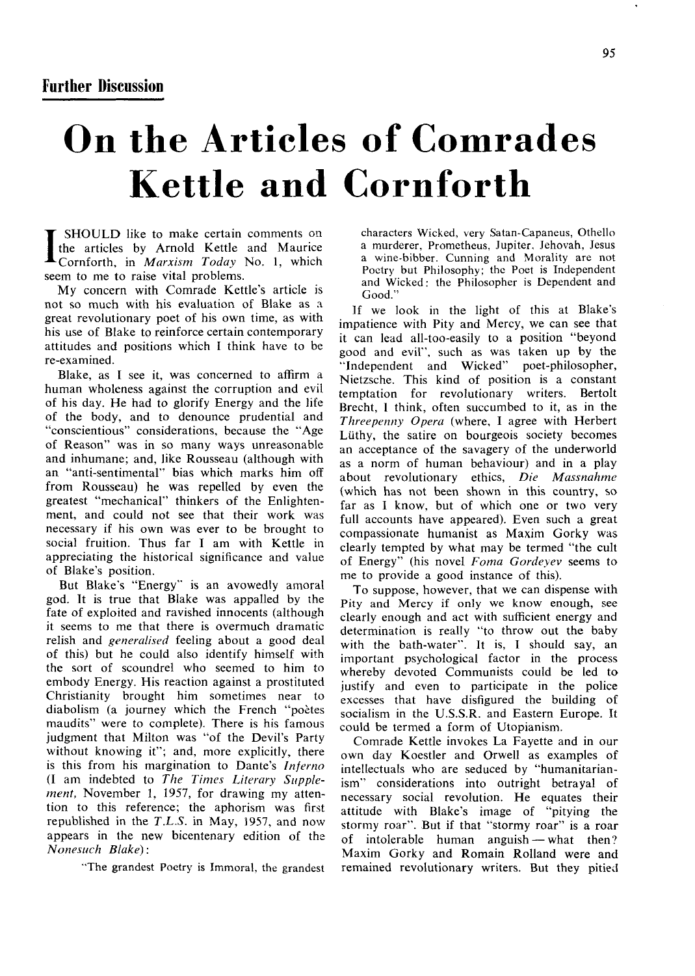## **On the Articles of Comrades Kettle and Cornforth**

I SHOULD like to make certain comments on the articles by Arnold Kettle and Maurice Cornforth, in *Marxism Today* No. 1, which seem to me to raise vital problems.

My concern with Comrade Kettle's article is not so much with his evaluation of Blake as a great revolutionary poet of his own time, as with his use of Blake to reinforce certain contemporary attitudes and positions which I think have to be re-examined.

Blake, as I see it, was concerned to affirm a human wholeness against the corruption and evil of his day. He had to glorify Energy and the life of the body, and to denounce prudential and "conscientious" considerations, because the "Age of Reason" was in so many ways unreasonable and inhumane; and, like Rousseau (although with an "anti-sentimental" bias which marks him off from Rousseau) he was repelled by even the greatest "mechanical" thinkers of the Enlightenment, and could not see that their work was necessary if his own was ever to be brought to social fruition. Thus far I am with Kettle in appreciating the historical significance and value of Blake's position.

But Blake's "Energy" is an avowedly amoral god. It is true that Blake was appalled by the fate of exploited and ravished innocents (although it seems to me that there is overmuch dramatic relish and *generalised* feeling about a good deal of this) but he could also identify himself with the sort of scoundrel who seemed to him to embody Energy. His reaction against a prostituted Christianity brought him sometimes near to diabolism (a journey which the French "poètes" maudits" were to complete). There is his famous judgment that Milton was "of the Devil's Party without knowing it"; and, more explicitly, there is this from his margination to Dante's *Inferno*  (I am indebted to *The Times Literary Supplement,* November 1, 1957, for drawing my attention to this reference; the aphorism was first republished in the *T.L.S.* in May, 1957, and now appears in the new bicentenary edition of the *Nonesuch Blake):* 

"The grandest Poetry is Immoral, the grandest

characters Wicked, very Satan-Capaneus, Othello a murderer, Prometheus, Jupiter, Jehovah, Jesus a wine-bibber. Cunning and Morality are not Poetry but Philosophy; the Poet is Independent and Wicked: the Philosopher is Dependent and

 $\overline{\mathbf{u}}$ If we look in the light of this at Blake's impatience with Pity and Mercy, we can see that it can lead all-too-easily to a position "beyond good and evil", such as was taken up by the "Independent and Wicked" poet-philosopher, "Independent and Wicked" Nietzsche. This kind of position is a constant temptation for revolutionary writers. Bertolt Brecht, 1 think, often succumbed to it, as in the *Threepenny Opera* (where, I agree with Herbert Liithy, the satire on bourgeois society becomes an acceptance of the savagery of the underworld as a norm of human behaviour) and in a play about revolutionary ethics. *Die Massnahme*  (which has not been shown in this country, so far as I know, but of which one or two very full accounts have appeared). Even such a great compassionate humanist as Maxim Gorky was clearly tempted by what may be termed "the cult of Energy" (his novel *Foma Gordeyev* seems to me to provide a good instance of this).

To suppose, however, that we can dispense with Pity and Mercy if only we know enough, see clearly enough and act with sufficient energy and determination is really "to throw out the baby with the bath-water". It is, I should say, an important psychological factor in the process whereby devoted Communists could be led to justify and even to participate in the police excesses that have disfigured the building of socialism in the U.S.S.R. and Eastern Europe. It could be termed a form of Utopianism.

Comrade Kettle invokes La Fayette and in our own day Koestler and Orwell as examples of intellectuals who are seduced by "humanitarianism" considerations into outright betrayal of necessary social revolution. He equates their attitude with Blake's image of "pitying the stormy roar". But if that "stormy roar" is a roar of intolerable human anguish — what then? Maxim Gorky and Romain Rolland were and remained revolutionary writers. But they pitied